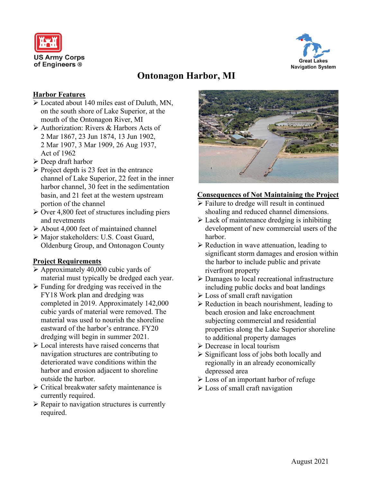



# **Ontonagon Harbor, MI**

## **Harbor Features**

- Located about 140 miles east of Duluth, MN, on the south shore of Lake Superior, at the mouth of the Ontonagon River, MI
- Authorization: Rivers & Harbors Acts of 2 Mar 1867, 23 Jun 1874, 13 Jun 1902, 2 Mar 1907, 3 Mar 1909, 26 Aug 1937, Act of 1962
- $\triangleright$  Deep draft harbor
- $\triangleright$  Project depth is 23 feet in the entrance channel of Lake Superior, 22 feet in the inner harbor channel, 30 feet in the sedimentation basin, and 21 feet at the western upstream portion of the channel
- $\geq$  Over 4,800 feet of structures including piers and revetments
- About 4,000 feet of maintained channel
- Major stakeholders: U.S. Coast Guard, Oldenburg Group, and Ontonagon County

## **Project Requirements**

- $\triangleright$  Approximately 40,000 cubic yards of material must typically be dredged each year.
- $\triangleright$  Funding for dredging was received in the FY18 Work plan and dredging was completed in 2019. Approximately 142,000 cubic yards of material were removed. The material was used to nourish the shoreline eastward of the harbor's entrance. FY20 dredging will begin in summer 2021.
- $\triangleright$  Local interests have raised concerns that navigation structures are contributing to deteriorated wave conditions within the harbor and erosion adjacent to shoreline outside the harbor.
- $\triangleright$  Critical breakwater safety maintenance is currently required.
- $\triangleright$  Repair to navigation structures is currently required.



#### **Consequences of Not Maintaining the Project**

- $\triangleright$  Failure to dredge will result in continued shoaling and reduced channel dimensions.
- $\triangleright$  Lack of maintenance dredging is inhibiting development of new commercial users of the harbor.
- $\triangleright$  Reduction in wave attenuation, leading to significant storm damages and erosion within the harbor to include public and private riverfront property
- Damages to local recreational infrastructure including public docks and boat landings
- Loss of small craft navigation
- $\triangleright$  Reduction in beach nourishment, leading to beach erosion and lake encroachment subjecting commercial and residential properties along the Lake Superior shoreline to additional property damages
- **Decrease in local tourism**
- $\triangleright$  Significant loss of jobs both locally and regionally in an already economically depressed area
- Loss of an important harbor of refuge
- $\triangleright$  Loss of small craft navigation